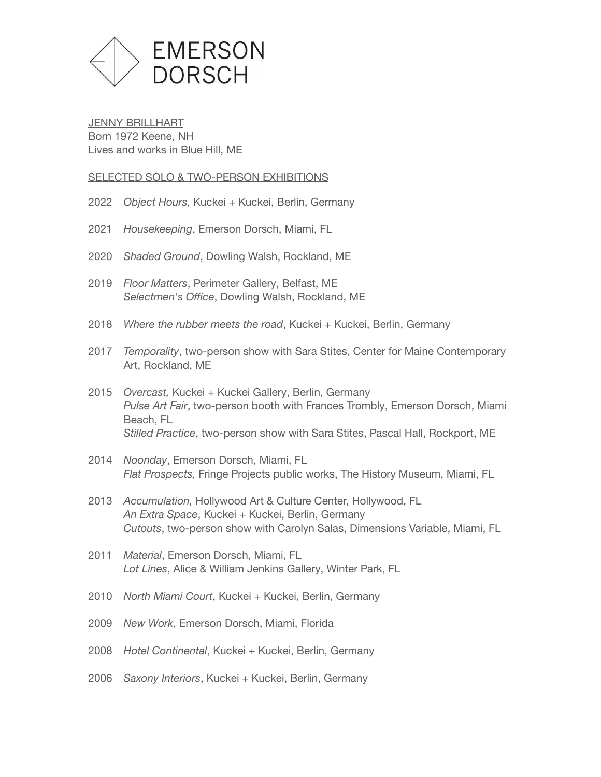

**JENNY BRILLHART** Born 1972 Keene, NH Lives and works in Blue Hill, ME

#### SELECTED SOLO & TWO-PERSON EXHIBITIONS

- 2022 *Object Hours,* Kuckei + Kuckei, Berlin, Germany
- 2021 *Housekeeping*, Emerson Dorsch, Miami, FL
- 2020 *Shaded Ground*, Dowling Walsh, Rockland, ME
- 2019 *Floor Matters*, Perimeter Gallery, Belfast, ME *Selectmen's Office*, Dowling Walsh, Rockland, ME
- 2018 *Where the rubber meets the road*, [Kuckei + Kuckei,](http://www.kuckei-kuckei.de/) Berlin, Germany
- 2017 *Temporality*, two-person show with Sara Stites, [Center for Maine Contemporary](http://cmcanow.org/) [Art](http://cmcanow.org/), Rockland, ME
- 2015 *Overcast,* Kuckei + Kuckei Gallery, Berlin, Germany *Pulse Art Fair*, two-person booth with Frances Trombly, Emerson Dorsch, Miami Beach, FL *Stilled Practice*, two-person show with Sara Stites, Pascal Hall, Rockport, ME
- 2014 *Noonday*, Emerson Dorsch, Miami, FL *Flat Prospects,* Fringe Projects public works, The History Museum, Miami, FL
- 2013 *Accumulation,* Hollywood Art & Culture Center, Hollywood, FL *An Extra Space*, Kuckei + Kuckei, Berlin, Germany *Cutouts*, two-person show with Carolyn Salas, Dimensions Variable, Miami, FL
- 2011 *Material*, Emerson Dorsch, Miami, FL *Lot Lines*, Alice & William Jenkins Gallery, Winter Park, FL
- 2010 *North Miami Court*, Kuckei + Kuckei, Berlin, Germany
- 2009 *New Work*, Emerson Dorsch, Miami, Florida
- 2008 *Hotel Continental*, Kuckei + Kuckei, Berlin, Germany
- 2006 *Saxony Interiors*, Kuckei + Kuckei, Berlin, Germany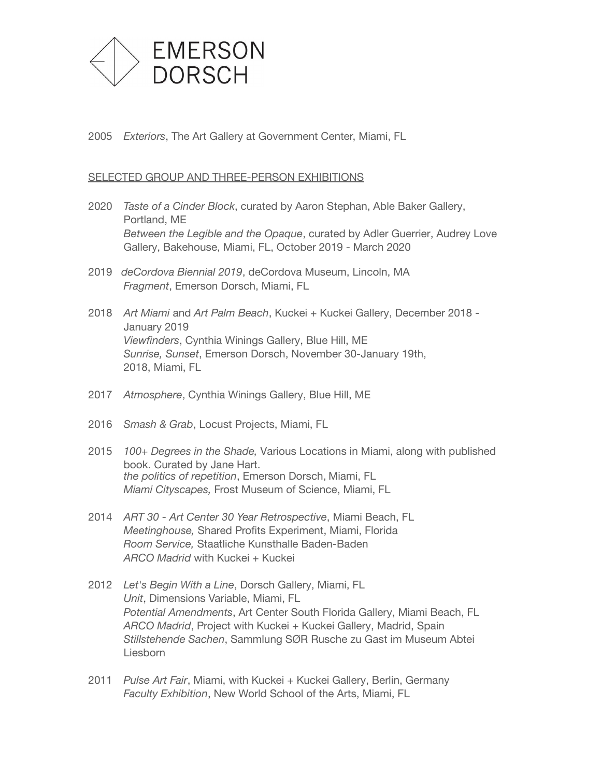

2005 *Exteriors*, The Art Gallery at Government Center, Miami, FL

#### SELECTED GROUP AND THREE-PERSON EXHIBITIONS

- 2020 *Taste of a Cinder Block*, curated by Aaron Stephan, Able Baker Gallery, Portland, ME *Between the Legible and the Opaque*, curated by Adler Guerrier, Audrey Love Gallery, Bakehouse, Miami, FL, October 2019 - March 2020
- 2019 *deCordova Biennial 2019*, [deCordova Museum](https://decordova.org/art/exhibition/decordova-new-england-biennial-2019), Lincoln, MA *Fragment*, Emerson Dorsch, Miami, FL
- 2018 *Art Miami* and *Art Palm Beach*, [Kuckei + Kuckei Gallery](http://www.kuckei-kuckei.de/), December 2018 January 2019 *Viewfinders*, Cynthia Winings Gallery, Blue Hill, ME *Sunrise, Sunset*, Emerson Dorsch, November 30-January 19th, 2018, Miami, FL
- 2017 *Atmosphere*, Cynthia Winings Gallery, Blue Hill, ME
- 2016 *Smash & Grab*, Locust Projects, Miami, FL
- 2015 *100+ Degrees in the Shade,* Various Locations in Miami, along with published book. Curated by Jane Hart. *the politics of repetition*, Emerson Dorsch, Miami, FL *Miami Cityscapes,* Frost Museum of Science, Miami, FL
- 2014 *ART 30 Art Center 30 Year Retrospective*, Miami Beach, FL *Meetinghouse,* Shared Profits Experiment, Miami, Florida *Room Service,* Staatliche Kunsthalle Baden-Baden *ARCO Madrid* with Kuckei + Kuckei
- 2012 *Let's Begin With a Line*, Dorsch Gallery, Miami, FL *Unit*, Dimensions Variable, Miami, FL *Potential Amendments*, Art Center South Florida Gallery, Miami Beach, FL ARCO Madrid, Project with Kuckei + Kuckei Gallery, Madrid, Spain *Stillstehende Sachen*, Sammlung SØR Rusche zu Gast im Museum Abtei Liesborn
- 2011 *Pulse Art Fair*, Miami, with Kuckei + Kuckei Gallery, Berlin, Germany *Faculty Exhibition*, New World School of the Arts, Miami, FL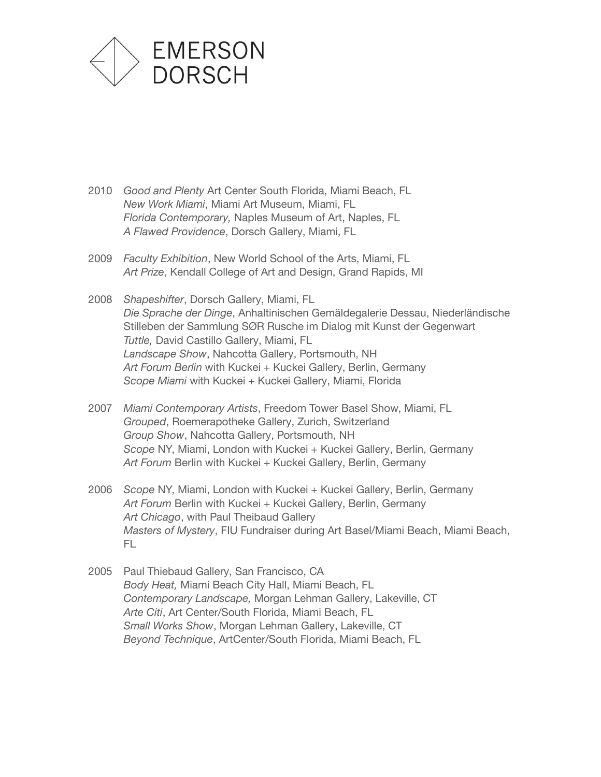

- 2010 *Good and Plenty* Art Center South Florida, Miami Beach, FL *New Work Miami*, Miami Art Museum, Miami, FL *Florida Contemporary,* Naples Museum of Art, Naples, FL *A Flawed Providence*, Dorsch Gallery, Miami, FL
- 2009 *Faculty Exhibition*, New World School of the Arts, Miami, FL *Art Prize*, Kendall College of Art and Design, Grand Rapids, MI
- 2008 *Shapeshifter*, Dorsch Gallery, Miami, FL *Die Sprache der Dinge*, Anhaltinischen Gemäldegalerie Dessau, Niederländische Stilleben der Sammlung SØR Rusche im Dialog mit Kunst der Gegenwart *Tuttle,* David Castillo Gallery, Miami, FL *Landscape Show*, Nahcotta Gallery, Portsmouth, NH Art Forum Berlin with Kuckei + Kuckei Gallery, Berlin, Germany *Scope Miami* with Kuckei + Kuckei Gallery, Miami, Florida
- 2007 *Miami Contemporary Artists*, Freedom Tower Basel Show, Miami, FL *Grouped*, Roemerapotheke Gallery, Zurich, Switzerland *Group Show*, Nahcotta Gallery, Portsmouth, NH **Scope NY, Miami, London with Kuckei + Kuckei Gallery, Berlin, Germany** Art Forum Berlin with Kuckei + Kuckei Gallery, Berlin, Germany
- 2006 *Scope* NY, Miami, London with Kuckei + Kuckei Gallery, Berlin, Germany Art Forum Berlin with Kuckei + Kuckei Gallery, Berlin, Germany *Art Chicago*, with Paul Theibaud Gallery *Masters of Mystery*, FIU Fundraiser during Art Basel/Miami Beach, Miami Beach, FL
- 2005 Paul Thiebaud Gallery, San Francisco, CA *Body Heat,* Miami Beach City Hall, Miami Beach, FL *Contemporary Landscape,* Morgan Lehman Gallery, Lakeville, CT *Arte Citi*, Art Center/South Florida, Miami Beach, FL *Small Works Show*, Morgan Lehman Gallery, Lakeville, CT *Beyond Technique*, ArtCenter/South Florida, Miami Beach, FL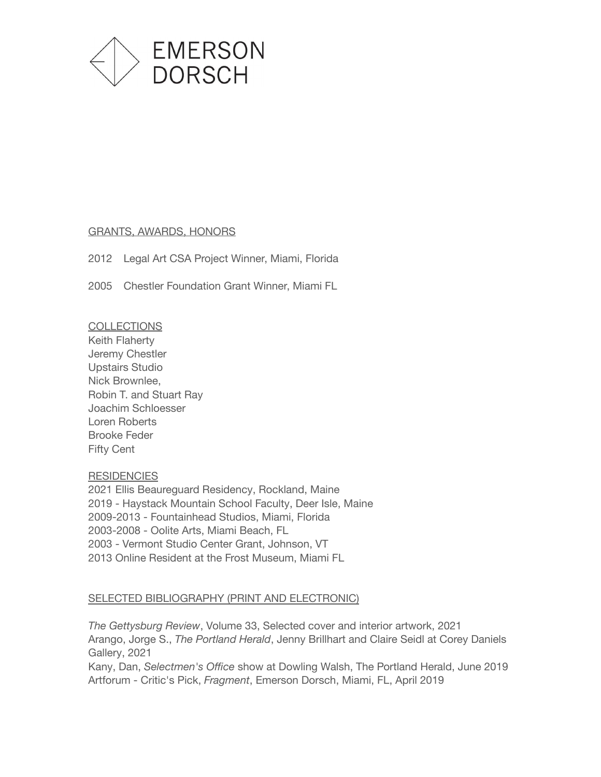

#### GRANTS, AWARDS, HONORS

2012 Legal Art CSA Project Winner, Miami, Florida

2005 Chestler Foundation Grant Winner, Miami FL

**COLLECTIONS** Keith Flaherty Jeremy Chestler Upstairs Studio Nick Brownlee, Robin T. and Stuart Ray Joachim Schloesser Loren Roberts Brooke Feder Fifty Cent

# **RESIDENCIES**

 Ellis Beaureguard Residency, Rockland, Maine - Haystack Mountain School Faculty, Deer Isle, Maine 2009-2013 - Fountainhead Studios, Miami, Florida 2003-2008 - Oolite Arts, Miami Beach, FL - Vermont Studio Center Grant, Johnson, VT Online Resident at the Frost Museum, Miami FL

# SELECTED BIBLIOGRAPHY (PRINT AND ELECTRONIC)

*The Gettysburg Review*, Volume 33, Selected cover and interior artwork, 2021 Arango, Jorge S., *The Portland Herald*, Jenny Brillhart and Claire Seidl at Corey Daniels Gallery, 2021

Kany, Dan, *Selectmen's Office* show at Dowling Walsh, The Portland Herald, June 2019 Artforum - Critic's Pick, *Fragment*, Emerson Dorsch, Miami, FL, April 2019